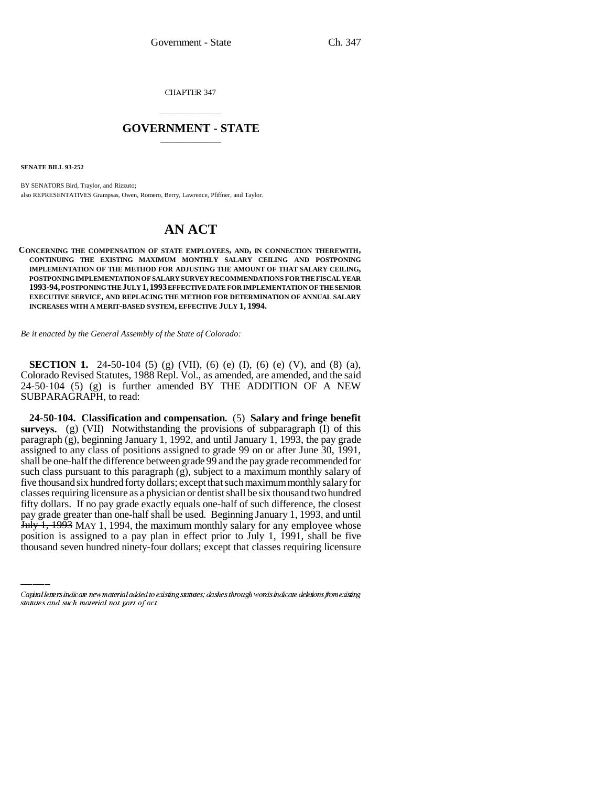CHAPTER 347

## \_\_\_\_\_\_\_\_\_\_\_\_\_\_\_ **GOVERNMENT - STATE** \_\_\_\_\_\_\_\_\_\_\_\_\_\_\_

**SENATE BILL 93-252**

BY SENATORS Bird, Traylor, and Rizzuto; also REPRESENTATIVES Grampsas, Owen, Romero, Berry, Lawrence, Pfiffner, and Taylor.

## **AN ACT**

## **CONCERNING THE COMPENSATION OF STATE EMPLOYEES, AND, IN CONNECTION THEREWITH, CONTINUING THE EXISTING MAXIMUM MONTHLY SALARY CEILING AND POSTPONING IMPLEMENTATION OF THE METHOD FOR ADJUSTING THE AMOUNT OF THAT SALARY CEILING, POSTPONING IMPLEMENTATION OF SALARY SURVEY RECOMMENDATIONS FOR THE FISCAL YEAR 1993-94, POSTPONING THE JULY 1,1993 EFFECTIVE DATE FOR IMPLEMENTATION OF THE SENIOR EXECUTIVE SERVICE, AND REPLACING THE METHOD FOR DETERMINATION OF ANNUAL SALARY INCREASES WITH A MERIT-BASED SYSTEM, EFFECTIVE JULY 1, 1994.**

*Be it enacted by the General Assembly of the State of Colorado:*

**SECTION 1.** 24-50-104 (5) (g) (VII), (6) (e) (I), (6) (e) (V), and (8) (a), Colorado Revised Statutes, 1988 Repl. Vol., as amended, are amended, and the said 24-50-104 (5) (g) is further amended BY THE ADDITION OF A NEW SUBPARAGRAPH, to read:

pay grade greater than one-half shall be used. Beginning January 1, 1993, and until **24-50-104. Classification and compensation.** (5) **Salary and fringe benefit surveys.** (g) (VII) Notwithstanding the provisions of subparagraph (I) of this paragraph (g), beginning January 1, 1992, and until January 1, 1993, the pay grade assigned to any class of positions assigned to grade 99 on or after June 30, 1991, shall be one-half the difference between grade 99 and the pay grade recommended for such class pursuant to this paragraph  $(g)$ , subject to a maximum monthly salary of five thousand six hundred forty dollars; except that such maximum monthly salary for classes requiring licensure as a physician or dentist shall be six thousand two hundred fifty dollars. If no pay grade exactly equals one-half of such difference, the closest July 1, 1993 MAY 1, 1994, the maximum monthly salary for any employee whose position is assigned to a pay plan in effect prior to July 1, 1991, shall be five thousand seven hundred ninety-four dollars; except that classes requiring licensure

Capital letters indicate new material added to existing statutes; dashes through words indicate deletions from existing statutes and such material not part of act.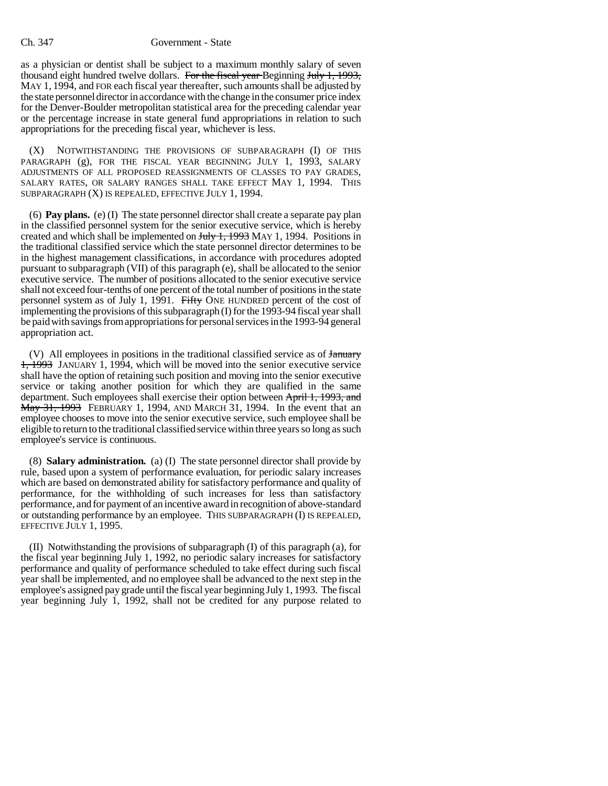## Ch. 347 Government - State

as a physician or dentist shall be subject to a maximum monthly salary of seven thousand eight hundred twelve dollars. For the fiscal year Beginning July 1, 1993, MAY 1, 1994, and FOR each fiscal year thereafter, such amounts shall be adjusted by the state personnel director in accordance with the change in the consumer price index for the Denver-Boulder metropolitan statistical area for the preceding calendar year or the percentage increase in state general fund appropriations in relation to such appropriations for the preceding fiscal year, whichever is less.

(X) NOTWITHSTANDING THE PROVISIONS OF SUBPARAGRAPH (I) OF THIS PARAGRAPH (g), FOR THE FISCAL YEAR BEGINNING JULY 1, 1993, SALARY ADJUSTMENTS OF ALL PROPOSED REASSIGNMENTS OF CLASSES TO PAY GRADES, SALARY RATES, OR SALARY RANGES SHALL TAKE EFFECT MAY 1, 1994. THIS SUBPARAGRAPH (X) IS REPEALED, EFFECTIVE JULY 1, 1994.

(6) **Pay plans.** (e) (I) The state personnel director shall create a separate pay plan in the classified personnel system for the senior executive service, which is hereby created and which shall be implemented on  $J_{\text{t}}$ , 1993 MAY 1, 1994. Positions in the traditional classified service which the state personnel director determines to be in the highest management classifications, in accordance with procedures adopted pursuant to subparagraph (VII) of this paragraph (e), shall be allocated to the senior executive service. The number of positions allocated to the senior executive service shall not exceed four-tenths of one percent of the total number of positions in the state personnel system as of July 1, 1991. Fifty ONE HUNDRED percent of the cost of implementing the provisions of this subparagraph (I) for the 1993-94 fiscal year shall be paid with savings from appropriations for personal services in the 1993-94 general appropriation act.

(V) All employees in positions in the traditional classified service as of January 1, 1993 JANUARY 1, 1994, which will be moved into the senior executive service shall have the option of retaining such position and moving into the senior executive service or taking another position for which they are qualified in the same department. Such employees shall exercise their option between April 1, 1993, and May 31, 1993 FEBRUARY 1, 1994, AND MARCH 31, 1994. In the event that an employee chooses to move into the senior executive service, such employee shall be eligible to return to the traditional classified service within three years so long as such employee's service is continuous.

(8) **Salary administration.** (a) (I) The state personnel director shall provide by rule, based upon a system of performance evaluation, for periodic salary increases which are based on demonstrated ability for satisfactory performance and quality of performance, for the withholding of such increases for less than satisfactory performance, and for payment of an incentive award in recognition of above-standard or outstanding performance by an employee. THIS SUBPARAGRAPH (I) IS REPEALED, EFFECTIVE JULY 1, 1995.

(II) Notwithstanding the provisions of subparagraph (I) of this paragraph (a), for the fiscal year beginning July 1, 1992, no periodic salary increases for satisfactory performance and quality of performance scheduled to take effect during such fiscal year shall be implemented, and no employee shall be advanced to the next step in the employee's assigned pay grade until the fiscal year beginning July 1, 1993. The fiscal year beginning July 1, 1992, shall not be credited for any purpose related to